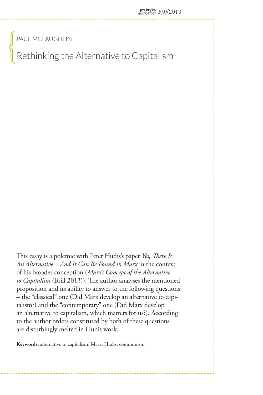Paul McLaughlin

Rethinking the Alternative to Capitalism

This essay is a polemic with Peter Hudis's paper *Yes, There Is An Alternative – And It Can Be Found in Marx* in the context of his broader conception (*Marx's Concept of the Alternative to Capitalism* (Brill 2013)). The author analyses the mentioned proposition and its ability to answer to the following questions – the "classical" one (Did Marx develop an alternative to capitalism?) and the "contemporary" one (Did Marx develop an alternative to capitalism, which matters for us?). According to the author orders constituted by both of these questions are disturbingly melted in Hudis work.

**Keywords:** alternative to capitalism, Marx, Hudis, communism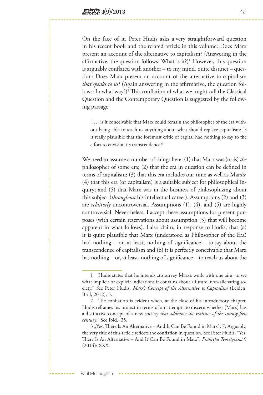On the face of it, Peter Hudis asks a very straightforward question in his recent book and the related article in this volume: Does Marx present an account of the alternative to capitalism? (Answering in the affirmative, the question follows: What is it?)<sup>1</sup> However, this question is arguably conflated with another – to my mind, quite distinct – question: Does Marx present an account of the alternative to capitalism *that speaks to us*? (Again answering in the affirmative, the question follows: In what way?)<sup>2</sup> This conflation of what we might call the Classical Question and the Contemporary Question is suggested by the following passage:

[...] is it conceivable that Marx could remain the philosopher of the era without being able to teach us anything about what should replace capitalism? Is it really plausible that the foremost critic of capital had nothing to say to the effort to envision its transcendence?<sup>3</sup>

We need to assume a number of things here: (1) that Marx was (or is) *the* philosopher of some era; (2) that the era in question can be defined in terms of capitalism; (3) that this era includes our time as well as Marx's; (4) that this era (or capitalism) is a suitable subject for philosophical inquiry; and (5) that Marx was in the business of philosophizing about this subject (*throughout* his intellectual career). Assumptions (2) and (3) are *relatively* uncontroversial. Assumptions (1), (4), and (5) are highly controversial. Nevertheless, I accept these assumptions for present purposes (with certain reservations about assumption (5) that will become apparent in what follows). I also claim, in response to Hudis, that (a) it is quite plausible that Marx (understood as Philosopher of the Era) had nothing – or, at least, nothing of significance – to say about the transcendence of capitalism and (b) it is perfectly conceivable that Marx has nothing – or, at least, nothing of significance – to teach us about the

<sup>1</sup> Hudis states that he intends "to survey Marx's work with one aim: to see what implicit or explicit indications it contains about a future, non-alienating society." See Peter Hudis, *Marx's Concept of the Alternative to Capitalism* (Leiden: Brill, 2012), 5.

<sup>2</sup> The conflation is evident when, at the close of his introductory chapter, Hudis reframes his project in terms of an attempt "to discern whether [Marx] has a distinctive concept of a new society *that addresses the realities of the twenty-first century*." See Ibid., 35.

<sup>3 &</sup>quot;Yes, There Is An Alternative – And It Can Be Found in Marx", 7. Arguably, the very title of this article reflects the conflation in question. See Peter Hudis, "Yes, There Is An Alternative – And It Can Be Found in Marx", *Praktyka Teoretyczna* 9 (2014): XXX.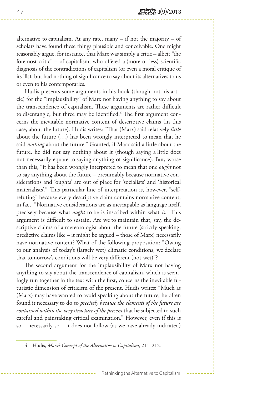alternative to capitalism. At any rate, many  $-$  if not the majority  $-$  of scholars have found these things plausible and conceivable. One might reasonably argue, for instance, that Marx was simply a critic – albeit "the foremost critic" – of capitalism, who offered a (more or less) scientific diagnosis of the contradictions of capitalism (or even a moral critique of its ills), but had nothing of significance to say about its alternatives to us or even to his contemporaries.

Hudis presents some arguments in his book (though not his article) for the "implausibility" of Marx not having anything to say about the transcendence of capitalism. These arguments are rather difficult to disentangle, but three may be identified.<sup>4</sup> The first argument concerns the inevitable normative content of descriptive claims (in this case, about the future). Hudis writes: "That (Marx) said relatively *little* about the future (…) has been wrongly interpreted to mean that he said *nothing* about the future." Granted, if Marx said a little about the future, he did not say nothing about it (though saying a little does not necessarily equate to saying anything of significance). But, worse than this, "it has been wrongly interpreted to mean that one *ought* not to say anything about the future – presumably because normative considerations and 'oughts' are out of place for 'socialists' and 'historical materialists'." This particular line of interpretation is, however, "selfrefuting" because every descriptive claim contains normative content; in fact, "Normative considerations are as inescapable as language itself, precisely because what *ought* to be is inscribed within what *is*." This argument is difficult to sustain. Are we to maintain that, say, the descriptive claims of a meteorologist about the future (strictly speaking, predictive claims like – it might be argued – those of Marx) necessarily have normative content? What of the following proposition: "Owing to our analysis of today's (largely wet) climatic conditions, we declare that tomorrow's conditions will be very different (not-wet)"?

The second argument for the implausibility of Marx not having anything to say about the transcendence of capitalism, which is seemingly run together in the text with the first, concerns the inevitable futuristic dimension of criticism of the present. Hudis writes: "Much as (Marx) may have wanted to avoid speaking about the future, he often found it necessary to do so *precisely because the elements of the future are contained within the very structure of the present* that he subjected to such careful and painstaking critical examination." However, even if this is so – necessarily so – it does not follow (as we have already indicated)

<sup>4</sup> Hudis, *Marx's Concept of the Alternative to Capitalism*, 211–212.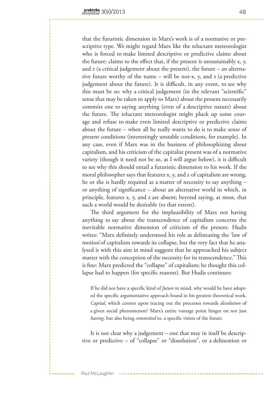that the futuristic dimension in Marx's work is of a normative or prescriptive type. We might regard Marx like the reluctant meteorologist who is forced to make limited descriptive or predictive claims about the future: claims to the effect that, if the present is unsustainably x, y, and z (a critical judgement about the present), the future – an alternative future worthy of the name – will be not-x, y, and z (a predictive judgement about the future). It is difficult, in any event, to see why this must be so: why a critical judgement (in the relevant "scientific" sense that may be taken to apply to Marx) about the present necessarily commits one to saying anything (even of a descriptive nature) about the future. The reluctant meteorologist might pluck up some courage and refuse to make even limited descriptive or predictive claims about the future – when all he really wants to do is to make sense of present conditions (interestingly unstable conditions, for example). In any case, even if Marx was in the business of philosophizing about capitalism, and his criticism of the capitalist present was of a normative variety (though it need not be so, as I will argue below), it is difficult to see why this should entail a futuristic dimension to his work. If the moral philosopher says that features x, y, and z of capitalism are wrong, he or she is hardly required as a matter of necessity to say anything – or anything of significance – about an alternative world in which, in principle, features x, y, and z are absent; beyond saying, at most, that such a world would be desirable (to that extent).

The third argument for the implausibility of Marx not having anything to say about the transcendence of capitalism concerns the inevitable normative dimension of criticism of the present. Hudis writes: "Marx definitely understood his role as delineating the 'law of motion'of capitalism towards its collapse, but the very fact that he analysed it with this aim in mind suggests that he approached his subject matter with the conception of the necessity for its transcendence." This is fine: Marx predicted the "collapse" of capitalism; he thought this collapse had to happen (for specific reasons). But Hudis continues:

If he did not have a specific kind of *future* in mind, why would he have adopted the specific argumentative approach found in his greatest theoretical work, *Capital*, which centres upon tracing out the processes towards *dissolution* of a given social phenomenon? Marx's entire vantage point hinges on not just *having*, but also being *committed* to, a specific vision of the future.

It is not clear why a judgement – one that may in itself be descriptive or predictive – of "collapse" or "dissolution", or a delineation or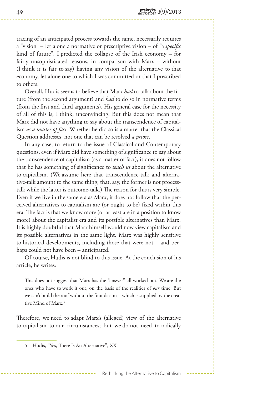tracing of an anticipated process towards the same, necessarily requires a "vision" – let alone a normative or prescriptive vision – of "a *specific* kind of future". I predicted the collapse of the Irish economy – for fairly unsophisticated reasons, in comparison with Marx – without (I think it is fair to say) having any vision of the alternative to that economy, let alone one to which I was committed or that I prescribed to others.

Overall, Hudis seems to believe that Marx *had* to talk about the future (from the second argument) and *had* to do so in normative terms (from the first and third arguments). His general case for the necessity of all of this is, I think, unconvincing. But this does not mean that Marx did not have anything to say about the transcendence of capitalism *as a matter of fact*. Whether he did so is a matter that the Classical Question addresses, not one that can be resolved *a priori*.

In any case, to return to the issue of Classical and Contemporary questions, even if Marx did have something of significance to say about the transcendence of capitalism (as a matter of fact), it does not follow that he has something of significance to *teach us* about the alternative to capitalism. (We assume here that transcendence-talk and alternative-talk amount to the same thing; that, say, the former is not processtalk while the latter is outcome-talk.) The reason for this is very simple. Even if we live in the same era as Marx, it does not follow that the perceived alternatives to capitalism are (or ought to be) fixed within this era. The fact is that we know more (or at least are in a position to know more) about the capitalist era and its possible alternatives than Marx. It is highly doubtful that Marx himself would now view capitalism and its possible alternatives in the same light. Marx was highly sensitive to historical developments, including those that were not – and perhaps could not have been – anticipated.

Of course, Hudis is not blind to this issue. At the conclusion of his article, he writes:

This does not suggest that Marx has the "answer" all worked out. We are the ones who have to work it out, on the basis of the realities of *our* time. But we can't build the roof without the foundation—which is supplied by the creative Mind of Marx.5

Therefore, we need to adapt Marx's (alleged) view of the alternative to capitalism to our circumstances; but we do not need to radically

<sup>5</sup> Hudis, "Yes, There Is An Alternative", XX.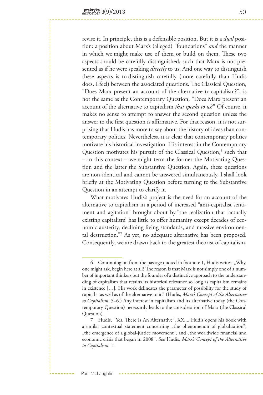revise it. In principle, this is a defensible position. But it is a *dual* position: a position about Marx's (alleged) "foundations" *and* the manner in which we might make use of them or build on them. These two aspects should be carefully distinguished, such that Marx is not presented as if he were speaking *directly* to us. And one way to distinguish these aspects is to distinguish carefully (more carefully than Hudis does, I feel) between the associated questions. The Classical Question, "Does Marx present an account of the alternative to capitalism?", is not the same as the Contemporary Question, "Does Marx present an account of the alternative to capitalism *that speaks to us*?" Of course, it makes no sense to attempt to answer the second question unless the answer to the first question is affirmative. For that reason, it is not surprising that Hudis has more to say about the history of ideas than contemporary politics. Nevertheless, it is clear that contemporary politics motivate his historical investigation. His interest in the Contemporary Question motivates his pursuit of the Classical Question,<sup>6</sup> such that – in this context – we might term the former the Motivating Question and the latter the Substantive Question. Again, these questions are non-identical and cannot be answered simultaneously. I shall look briefly at the Motivating Question before turning to the Substantive Question in an attempt to clarify it.

What motivates Hudis's project is the need for an account of the alternative to capitalism in a period of increased "anti-capitalist sentiment and agitation" brought about by "the realization that 'actually existing capitalism' has little to offer humanity except decades of economic austerity, declining living standards, and massive environmental destruction."7 As yet, no adequate alternative has been proposed. Consequently, we are drawn back to the greatest theorist of capitalism,

<sup>6</sup> Continuing on from the passage quoted in footnote 1, Hudis writes: "Why, one might ask, begin here at all? The reason is that Marx is not simply one of a number of important thinkers but the founder of a distinctive approach to the understanding of capitalism that retains its historical relevance so long as capitalism remains in existence […]. His work delineates the parameter of possibility for the study of capital – as well as of the alternative to it." (Hudis, *Marx's Concept of the Alternative to Capitalism*, 5–6.) Any interest in capitalism and its alternative today (the Contemporary Question) necessarily leads to the consideration of Marx (the Classical Question).

<sup>7</sup> Hudis, "Yes, There Is An Alternative", XX.... Hudis opens his book with a similar contextual statement concerning "the phenomenon of globalisation", the emergence of a global-justice movement", and "the worldwide financial and economic crisis that began in 2008". See Hudis, *Marx's Concept of the Alternative to Capitalism*, 1.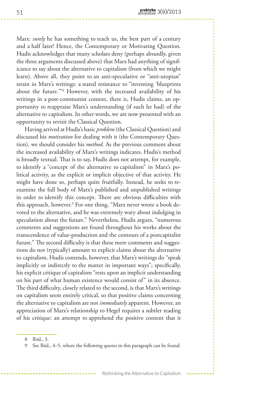Marx: *surely* he has something to teach us, the best part of a century and a half later! Hence, the Contemporary or Motivating Question. Hudis acknowledges that many scholars deny (perhaps absurdly, given the three arguments discussed above) that Marx had anything of significance to say about the alternative to capitalism (from which we might learn). Above all, they point to an anti-speculative or "anti-utopian" strain in Marx's writings: a stated resistance to "inventing 'blueprints about the future.'"8 However, with the increased availability of his writings in a post-communist context, there is, Hudis claims, an opportunity to reappraise Marx's understanding (if such he had) of the alternative to capitalism. In other words, we are now presented with an opportunity to revisit the Classical Question.

Having arrived at Hudis's basic *problem* (the Classical Question) and discussed his *motivation* for dealing with it (the Contemporary Question), we should consider his *method*. As the previous comment about the increased availability of Marx's writings indicates, Hudis's method is broadly textual. That is to say, Hudis does not attempt, for example, to identify a "concept of the alternative to capitalism" in Marx's political activity, as the explicit or implicit objective of that activity. He might have done so, perhaps quite fruitfully. Instead, he seeks to reexamine the full body of Marx's published and unpublished writings in order to identify this concept. There are obvious difficulties with this approach, however.9 For one thing, "Marx never wrote a book devoted to the alternative, and he was extremely wary about indulging in speculation about the future." Nevertheless, Hudis argues, "numerous comments and suggestions are found throughout his works about the transcendence of value-production and the contours of a postcapitalist future." The second difficulty is that these mere comments and suggestions do not (typically) amount to explicit claims about the alternative to capitalism. Hudis contends, however, that Marx's writings do "speak implicitly or indirectly to the matter in important ways"; specifically, his explicit critique of capitalism "rests upon an implicit understanding on his part of what human existence would consist of" in its absence. The third difficulty, closely related to the second, is that Marx's writings on capitalism seem entirely critical, so that positive claims concerning the alternative to capitalism are not *immediately* apparent. However, an appreciation of Marx's relationship to Hegel requires a subtler reading of his critique: an attempt to apprehend the positive content that it

<sup>8</sup> Ibid., 3.

<sup>9</sup> See Ibid., 4–5, where the following quotes in this paragraph can be found.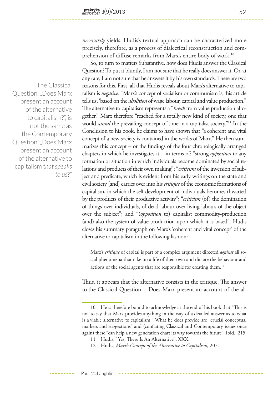*necessarily* yields. Hudis's textual approach can be characterized more precisely, therefore, as a process of dialectical reconstruction and comprehension of diffuse remarks from Marx's entire body of work.10

So, to turn to matters Substantive, how does Hudis answer the Classical Question? To put it bluntly, I am not sure that he really does answer it. Or, at any rate, I am not sure that he answers it by his own standards. There are two reasons for this. First, all that Hudis reveals about Marx's alternative to capitalism is *negative*. "Marx's concept of socialism or communism is,' his article tells us, 'based on the *abolition* of wage labour, capital and value production." The alternative to capitalism represents a "*break* from value production altogether." Marx therefore "reached for a totally new kind of society, one that would *annul* the prevailing concept of time in a capitalist society."<sup>11</sup> In the Conclusion to his book, he claims to have shown that "a coherent and vital concept of a new society is contained in the works of Marx." He then summarizes this concept – or the findings of the four chronologically arranged chapters in which he investigates it – in terms of: "strong *opposition* to any formation or situation in which individuals become dominated by social relations and products of their own making"; "*criticism* of the inversion of subject and predicate, which is evident from his early writings on the state and civil society [and] carries over into his *critique* of the economic formations of capitalism, in which the self-development of individuals becomes thwarted by the products of their productive activity"; "*criticism* (of) the domination of things over individuals, of dead labour over living labour, of the object over the subject"; and "(*opposition* to) capitalist commodity-production (and) also the system of value production upon which it is based". Hudis closes his summary paragraph on Marx's 'coherent and vital concept' of the alternative to capitalism in the following fashion:

Marx's *critique* of capital is part of a complex argument directed *against* all social phenomena that take on a life of their own and dictate the behaviour and actions of the social agents that are responsible for creating them.<sup>12</sup>

Thus, it appears that the alternative consists in the critique. The answer to the Classical Question – Does Marx present an account of the al-

Paul McLaughlin

The Classical Question, "Does Marx present an account of the alternative to capitalism?", is not the same as the Contemporary Question, "Does Marx present an account of the alternative to capitalism *that speaks to us*?"

<sup>10</sup> He is therefore bound to acknowledge at the end of his book that "This is not to say that Marx provides anything in the way of a detailed answer as to what is a viable alternative to capitalism." What he does provide are "crucial conceptual markers and suggestions" and (conflating Classical and Contemporary issues once again) these "can help a new generation chart its way towards the future". Ibid., 215.

<sup>11</sup> Hudis, "Yes, There Is An Alternative", XXX.

<sup>12</sup> Hudis, *Marx's Concept of the Alternative to Capitalism*, 207.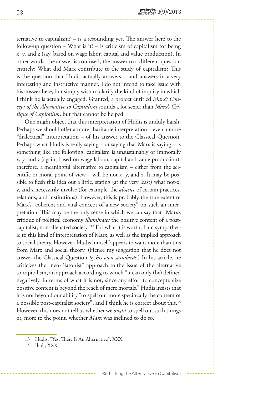ternative to capitalism? – is a resounding yes. The answer here to the follow-up question – What is it? – is criticism of capitalism for being x, y, and z (say, based on wage labor, capital and value production). In other words, the answer is confused, the answer to a different question entirely: What did Marx contribute to the study of capitalism? This is the question that Hudis actually answers – and answers in a very interesting and instructive manner. I do not intend to take issue with his answer here, but simply wish to clarify the kind of inquiry in which I think he is actually engaged. Granted, a project entitled *Marx's Concept of the Alternative to Capitalism* sounds a lot sexier than *Marx's Critique of Capitalism*, but that cannot be helped.

One might object that this interpretation of Hudis is unduly harsh. Perhaps we should offer a more charitable interpretation – even a more "dialectical" interpretation – of his answer to the Classical Question. Perhaps what Hudis is really saying  $-$  or saying that Marx is saying  $-$  is something like the following: capitalism is unsustainably or immorally x, y, and z (again, based on wage labour, capital and value production); therefore, a meaningful alternative to capitalism – either from the scientific or moral point of view – will be not-x, y, and z. It may be possible to flesh this idea out a little, stating (at the very least) what not-x, y, and z necessarily involve (for example, the *absence* of certain practices, relations, and institutions). However, this is probably the true extent of Marx's "coherent and vital concept of a new society" on such an interpretation. This may be the only sense in which we can say that "Marx's critique of political economy *illuminates* the positive content of a postcapitalist, non-alienated society."13 For what it is worth, I am sympathetic to this kind of interpretation of Marx, as well as the implied approach to social theory. However, Hudis himself appears to want more than this from Marx and social theory. (Hence my suggestion that he does not answer the Classical Question *by his own standards*.) In his article, he criticizes the "neo-Platonist" approach to the issue of the alternative to capitalism, an approach according to which "it can only (be) defined negatively, in terms of what it is not, since any effort to conceptualize positive content is beyond the reach of mere mortals." Hudis insists that it is not beyond our ability "to spell out more specifically the content of a possible post-capitalist society", and I think he is correct about this.<sup>14</sup> However, this does not tell us whether we *ought* to spell out such things or, more to the point, whether *Marx* was inclined to do so.

14 Ibid., XXX.

<sup>13</sup> Hudis, "Yes, There Is An Alternative", XXX.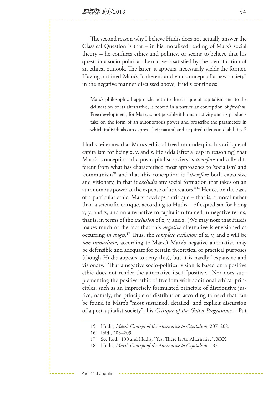The second reason why I believe Hudis does not actually answer the Classical Question is that – in his moralized reading of Marx's social theory – he confuses ethics and politics, or seems to believe that his quest for a socio-political alternative is satisfied by the identification of an ethical outlook. The latter, it appears, necessarily yields the former. Having outlined Marx's "coherent and vital concept of a new society" in the negative manner discussed above, Hudis continues:

Marx's philosophical approach, both to the critique of capitalism and to the delineation of its alternative, is rooted in a particular conception of *freedom*. Free development, for Marx, is not possible if human activity and its products take on the form of an autonomous power and proscribe the parameters in which individuals can express their natural and acquired talents and abilities.<sup>15</sup>

Hudis reiterates that Marx's ethic of freedom underpins his critique of capitalism for being x, y, and z. He adds (after a leap in reasoning) that Marx's "conception of a postcapitalist society is *therefore* radically different from what has characterised most approaches to 'socialism' and 'communism'" and that this conception is "*therefore* both expansive and visionary, in that it *excludes* any social formation that takes on an autonomous power at the expense of its creators."16 Hence, on the basis of a particular ethic, Marx develops a critique – that is, a moral rather than a scientific critique, according to Hudis – of capitalism for being x, y, and z, and an alternative to capitalism framed in negative terms, that is, in terms of the *exclusion* of x, y, and z. (We may note that Hudis makes much of the fact that this *negative* alternative is envisioned as occurring *in stages*. 17 Thus, the *complete exclusion* of x, y, and z will be *non-immediate*, according to Marx.) Marx's negative alternative may be defensible and adequate for certain theoretical or practical purposes (though Hudis appears to deny this), but it is hardly "expansive and visionary." That a negative socio-political vision is based on a positive ethic does not render the alternative itself "positive." Nor does supplementing the positive ethic of freedom with additional ethical principles, such as an imprecisely formulated principle of distributive justice, namely, the principle of distribution according to need that can be found in Marx's "most sustained, detailed, and explicit discussion of a postcapitalist society", his *Critique of the Gotha Programme*. 18 Put

<sup>15</sup> Hudis, *Marx's Concept of the Alternative to Capitalism*, 207–208.

<sup>16</sup> Ibid., 208–209.

<sup>17</sup> See Ibid., 190 and Hudis, "Yes, There Is An Alternative", XXX.

<sup>18</sup> Hudis, *Marx's Concept of the Alternative to Capitalism*, 187.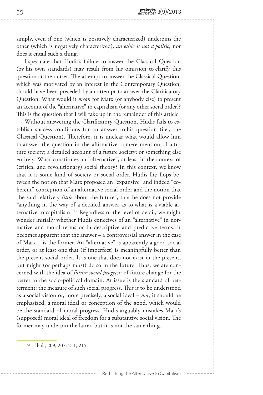simply, even if one (which is positively characterized) underpins the other (which is negatively characterized), *an ethic is not a politic*, nor does it entail such a thing.

I speculate that Hudis's failure to answer the Classical Question (by his own standards) may result from his omission to clarify this question at the outset. The attempt to answer the Classical Question, which was motivated by an interest in the Contemporary Question, should have been preceded by an attempt to answer the Clarificatory Question: What would it *mean* for Marx (or anybody else) to present an account of the "alternative" to capitalism (or any other social order)? This is the question that I will take up in the remainder of this article.

Without answering the Clarificatory Question, Hudis fails to establish success conditions for an answer to his question (i.e., the Classical Question). Therefore, it is unclear what would allow him to answer the question in the affirmative: a mere mention of a future society; a detailed account of a future society; or something else entirely. What constitutes an "alternative", at least in the context of (critical and revolutionary) social theory? In this context, we know that it is some kind of society or social order. Hudis flip-flops between the notion that Marx proposed an "expansive" and indeed "coherent" conception of an alternative social order and the notion that "he said relatively *little* about the future", that he does not provide "anything in the way of a detailed answer as to what is a viable alternative to capitalism."19 Regardless of the level of detail, we might wonder initially whether Hudis conceives of an "alternative" in normative and moral terms or in descriptive and predictive terms. It becomes apparent that the answer – a controversial answer in the case of Marx – is the former. An "alternative" is apparently a good social order, or at least one that (if imperfect) is meaningfully better than the present social order. It is one that does not exist in the present, but might (or perhaps must) do so in the future. Thus, we are concerned with the idea of *future social progress*: of future change for the better in the socio-political domain. At issue is the standard of betterment: the measure of such social progress. This is to be understood as a social vision or, more precisely, a social ideal – *not*, it should be emphasized, a moral ideal or conception of the good, which would be the standard of moral progress. Hudis arguably mistakes Marx's (supposed) moral ideal of freedom for a substantive social vision. The former may underpin the latter, but it is not the same thing.

<sup>19</sup> Ibid., 209, 207, 211, 215.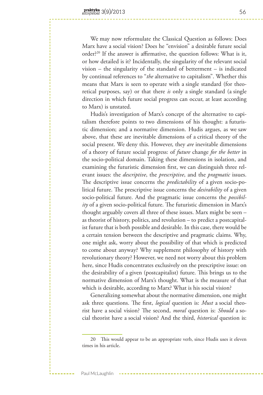We may now reformulate the Classical Question as follows: Does Marx have a social vision? Does he "envision" a desirable future social order?20 If the answer is affirmative, the question follows: What is it, or how detailed is it? Incidentally, the singularity of the relevant social vision – the singularity of the standard of betterment – is indicated by continual references to "*the* alternative to capitalism". Whether this means that Marx is seen to operate with a single standard (for theoretical purposes, say) or that there *is* only a single standard (a single direction in which future social progress can occur, at least according to Marx) is unstated.

Hudis's investigation of Marx's concept of the alternative to capitalism therefore points to two dimensions of his thought: a futuristic dimension; and a normative dimension. Hudis argues, as we saw above, that these are inevitable dimensions of a critical theory of the social present. We deny this. However, they *are* inevitable dimensions of a theory of future social progress: of *future* change *for the better* in the socio-political domain. Taking these dimensions in isolation, and examining the futuristic dimension first, we can distinguish three relevant issues: the *descriptive*, the *prescriptive*, and the *pragmatic* issues. The descriptive issue concerns the *predictability* of a given socio-political future. The prescriptive issue concerns the *desirability* of a given socio-political future. And the pragmatic issue concerns the *possibility* of a given socio-political future. The futuristic dimension in Marx's thought arguably covers all three of these issues. Marx might be seen – as theorist of history, politics, and revolution – to predict a postcapitalist future that is both possible and desirable. In this case, there would be a certain tension between the descriptive and pragmatic claims. Why, one might ask, worry about the possibility of that which is predicted to come about anyway? Why supplement philosophy of history with revolutionary theory? However, we need not worry about this problem here, since Hudis concentrates exclusively on the prescriptive issue: on the desirability of a given (postcapitalist) future. This brings us to the normative dimension of Marx's thought. What is the measure of that which is desirable, according to Marx? What is his social vision?

Generalizing somewhat about the normative dimension, one might ask three questions. The first, *logical* question is: *Must* a social theorist have a social vision? The second, *moral* question is: *Should* a social theorist have a social vision? And the third, *historical* question is:

<sup>20</sup> This would appear to be an appropriate verb, since Hudis uses it eleven times in his article.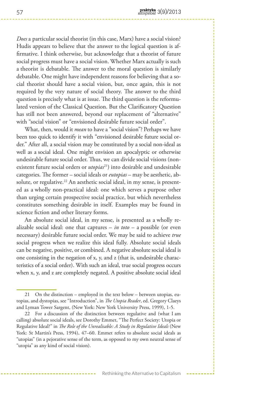*Does* a particular social theorist (in this case, Marx) have a social vision? Hudis appears to believe that the answer to the logical question is affirmative. I think otherwise, but acknowledge that a theorist of future social progress must have a social vision. Whether Marx actually is such a theorist is debatable. The answer to the moral question is similarly debatable. One might have independent reasons for believing that a social theorist should have a social vision, but, once again, this is not required by the very nature of social theory. The answer to the third question is precisely what is at issue. The third question is the reformulated version of the Classical Question. But the Clarificatory Question has still not been answered, beyond our replacement of "alternative" with "social vision" or "envisioned desirable future social order".

What, then, would it *mean* to have a "social vision"? Perhaps we have been too quick to identify it with "envisioned desirable future social order." After all, a social vision may be constituted by a social non-ideal as well as a social ideal. One might envision an apocalyptic or otherwise undesirable future social order. Thus, we can divide social visions (nonexistent future social orders or *utopias*<sup>21</sup>) into desirable and undesirable categories. The former – social ideals or *eutopias* – may be aesthetic, absolute, or regulative.<sup>22</sup> An aesthetic social ideal, in my sense, is presented as a wholly non-practical ideal: one which serves a purpose other than urging certain prospective social practice, but which nevertheless constitutes something desirable in itself. Examples may be found in science fiction and other literary forms.

An absolute social ideal, in my sense, is presented as a wholly realizable social ideal: one that captures – *in toto* – a possible (or even necessary) desirable future social order. We may be said to achieve *true* social progress when we realize this ideal fully. Absolute social ideals can be negative, positive, or combined. A negative absolute social ideal is one consisting in the negation of x, y, and z (that is, undesirable characteristics of a social order). With such an ideal, true social progress occurs when x, y, and z are completely negated. A positive absolute social ideal

<sup>21</sup> On the distinction – employed in the text below – between utopias, eutopias, and dystopias, see "Introduction", in *The Utopia Reader*, ed. Gregory Claeys and Lyman Tower Sargent, (New York: New York University Press, 1999), 1-5.

<sup>22</sup> For a discussion of the distinction between regulative and (what I am calling) absolute social ideals, see Dorothy Emmet, "The Perfect Society: Utopia or Regulative Ideal?" in *The Role of the Unrealisable: A Study in Regulative Ideals* (New York: St Martin's Press, 1994), 47–60. Emmet refers to absolute social ideals as "utopias" (in a pejorative sense of the term, as opposed to my own neutral sense of "utopia" as any kind of social vision).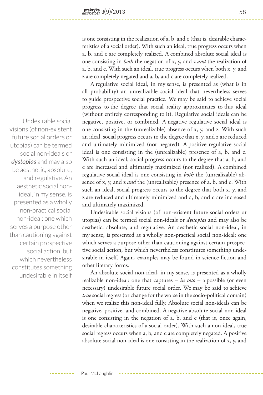is one consisting in the realization of a, b, and c (that is, desirable characteristics of a social order). With such an ideal, true progress occurs when a, b, and c are completely realized. A combined absolute social ideal is one consisting in *both* the negation of x, y, and z *and* the realization of a, b, and c. With such an ideal, true progress occurs when both x, y, and z are completely negated and a, b, and c are completely realized.

A regulative social ideal, in my sense, is presented as (what is in all probability) an unrealizable social ideal that nevertheless serves to guide prospective social practice. We may be said to achieve social progress to the degree that social reality approximates to this ideal (without entirely corresponding to it). Regulative social ideals can be negative, positive, or combined. A negative regulative social ideal is one consisting in the (unrealizable) absence of x, y, and z. With such an ideal, social progress occurs to the degree that x, y, and z are reduced and ultimately minimized (not negated). A positive regulative social ideal is one consisting in the (unrealizable) presence of a, b, and c. With such an ideal, social progress occurs to the degree that a, b, and c are increased and ultimately maximized (not realized). A combined regulative social ideal is one consisting in *both* the (unrealizable) absence of x, y, and z *and* the (unrealizable) presence of a, b, and c. With such an ideal, social progress occurs to the degree that both x, y, and z are reduced and ultimately minimized and a, b, and c are increased and ultimately maximized.

Undesirable social visions (of non-existent future social orders or utopias) can be termed social non-ideals or *dystopias* and may also be aesthetic, absolute, and regulative. An aesthetic social non-ideal, in my sense, is presented as a wholly non-practical social non-ideal: one which serves a purpose other than cautioning against certain prospective social action, but which nevertheless constitutes something undesirable in itself. Again, examples may be found in science fiction and other literary forms.

An absolute social non-ideal, in my sense, is presented as a wholly realizable non-ideal: one that captures – *in toto* – a possible (or even necessary) undesirable future social order. We may be said to achieve *true* social regress (or change for the worse in the socio-political domain) when we realize this non-ideal fully. Absolute social non-ideals can be negative, positive, and combined. A negative absolute social non-ideal is one consisting in the negation of a, b, and c (that is, once again, desirable characteristics of a social order). With such a non-ideal, true social regress occurs when a, b, and c are completely negated. A positive absolute social non-ideal is one consisting in the realization of x, y, and

Undesirable social visions (of non-existent future social orders or utopias) can be termed social non-ideals or *dystopias* and may also be aesthetic, absolute, and regulative. An aesthetic social nonideal, in my sense, is presented as a wholly non-practical social non-ideal: one which serves a purpose other than cautioning against certain prospective social action, but which nevertheless constitutes something undesirable in itself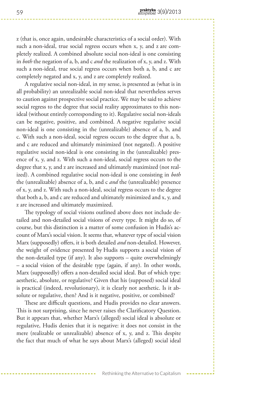z (that is, once again, undesirable characteristics of a social order). With such a non-ideal, true social regress occurs when x, y, and z are completely realized. A combined absolute social non-ideal is one consisting in *both* the negation of a, b, and c *and* the realization of x, y, and z. With such a non-ideal, true social regress occurs when both a, b, and c are completely negated and x, y, and z are completely realized.

A regulative social non-ideal, in my sense, is presented as (what is in all probability) an unrealizable social non-ideal that nevertheless serves to caution against prospective social practice. We may be said to achieve social regress to the degree that social reality approximates to this nonideal (without entirely corresponding to it). Regulative social non-ideals can be negative, positive, and combined. A negative regulative social non-ideal is one consisting in the (unrealizable) absence of a, b, and c. With such a non-ideal, social regress occurs to the degree that a, b, and c are reduced and ultimately minimized (not negated). A positive regulative social non-ideal is one consisting in the (unrealizable) presence of x, y, and z. With such a non-ideal, social regress occurs to the degree that x, y, and z are increased and ultimately maximized (not realized). A combined regulative social non-ideal is one consisting in *both* the (unrealizable) absence of a, b, and c *and* the (unrealizable) presence of x, y, and z. With such a non-ideal, social regress occurs to the degree that both a, b, and c are reduced and ultimately minimized and x, y, and z are increased and ultimately maximized.

The typology of social visions outlined above does not include detailed and non-detailed social visions of every type. It might do so, of course, but this distinction is a matter of some confusion in Hudis's account of Marx's social vision. It seems that, whatever type of social vision Marx (supposedly) offers, it is both detailed *and* non-detailed. However, the weight of evidence presented by Hudis supports a social vision of the non-detailed type (if any). It also supports – quite overwhelmingly – a social vision of the desirable type (again, if any). In other words, Marx (supposedly) offers a non-detailed social ideal. But of which type: aesthetic, absolute, or regulative? Given that his (supposed) social ideal is practical (indeed, revolutionary), it is clearly not aesthetic. Is it absolute or regulative, then? And is it negative, positive, or combined?

These are difficult questions, and Hudis provides no clear answers. This is not surprising, since he never raises the Clarificatory Question. But it appears that, whether Marx's (alleged) social ideal is absolute or regulative, Hudis denies that it is negative: it does not consist in the mere (realizable or unrealizable) absence of x, y, and z. This despite the fact that much of what he says about Marx's (alleged) social ideal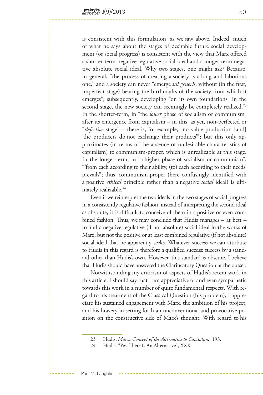is consistent with this formulation, as we saw above. Indeed, much of what he says about the stages of desirable future social development (or social progress) is consistent with the view that Marx offered a shorter-term negative regulative social ideal and a longer-term negative absolute social ideal. Why two stages, one might ask? Because, in general, "the process of creating a society is a long and laborious one," and a society can never "emerge *sui generis*, without (in the first, imperfect stage) bearing the birthmarks of the society from which it emerges"; subsequently, developing "on its own foundations" in the second stage, the new society can seemingly be completely realized.<sup>23</sup> In the shorter-term, in "the *lower* phase of socialism or communism" after its emergence from capitalism – in this, as yet, non-perfected or "*defective* stage" – there is, for example, "no value production [and] 'the producers do not exchange their products'"; but this only approximates (in terms of the absence of undesirable characteristics of capitalism) to communism-proper, which is unrealizable at this stage. In the longer-term, in "a higher phase of socialism or communism", "'from each according to their ability, (to) each according to their needs' prevails"; thus, communism-proper (here confusingly identified with a positive *ethical* principle rather than a negative *social* ideal) is ultimately realizable.<sup>24</sup>

Even if we reinterpret the two ideals in the two stages of social progress in a consistently regulative fashion, instead of interpreting the second ideal as absolute, it is difficult to conceive of them in a positive or even combined fashion. Thus, we may conclude that Hudis manages – at best – to find a negative regulative (if not absolute) social ideal in the works of Marx, but not the positive or at least combined regulative (if not absolute) social ideal that he apparently seeks. Whatever success we can attribute to Hudis in this regard is therefore a qualified success: success by a standard other than Hudis's own. However, this standard is obscure. I believe that Hudis should have answered the Clarificatory Question at the outset.

Notwithstanding my criticism of aspects of Hudis's recent work in this article, I should say that I am appreciative of and even sympathetic towards this work in a number of quite fundamental respects. With regard to his treatment of the Classical Question (his problem), I appreciate his sustained engagement with Marx, the ambition of his project, and his bravery in setting forth an unconventional and provocative position on the constructive side of Marx's thought. With regard to his

<sup>23</sup> Hudis, *Marx's Concept of the Alternative to Capitalism*, 193.

<sup>24</sup> Hudis, "Yes, There Is An Alternative", XXX.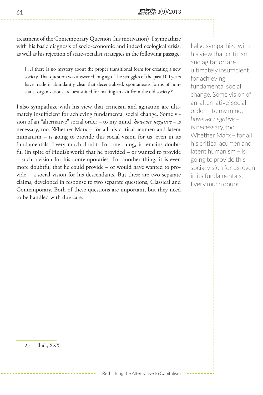treatment of the Contemporary Question (his motivation), I sympathize with his basic diagnosis of socio-economic and indeed ecological crisis, as well as his rejection of state-socialist strategies in the following passage:

[...] there is no mystery about the proper transitional form for creating a new society. That question was answered long ago. The struggles of the past 100 years have made it abundantly clear that decentralized, spontaneous forms of nonstatist organizations are best suited for making an exit from the old society.<sup>25</sup>

I also sympathize with his view that criticism and agitation are ultimately insufficient for achieving fundamental social change. Some vision of an "alternative" social order – to my mind, *however negative* – is necessary, too. Whether Marx – for all his critical acumen and latent humanism – is going to provide this social vision for us, even in its fundamentals, I very much doubt. For one thing, it remains doubtful (in spite of Hudis's work) that he provided – or wanted to provide – such a vision for his contemporaries. For another thing, it is even more doubtful that he could provide – or would have wanted to provide – a social vision for his descendants. But these are two separate claims, developed in response to two separate questions, Classical and Contemporary. Both of these questions are important, but they need to be handled with due care.

I also sympathize with his view that criticism and agitation are ultimately insufficient for achieving fundamental social change. Some vision of an 'alternative' social order – to my mind, *however negative* – is necessary, too. Whether Marx – for all his critical acumen and latent humanism – is going to provide this social vision for us, even in its fundamentals, I very much doubt

25 Ibid., XXX.